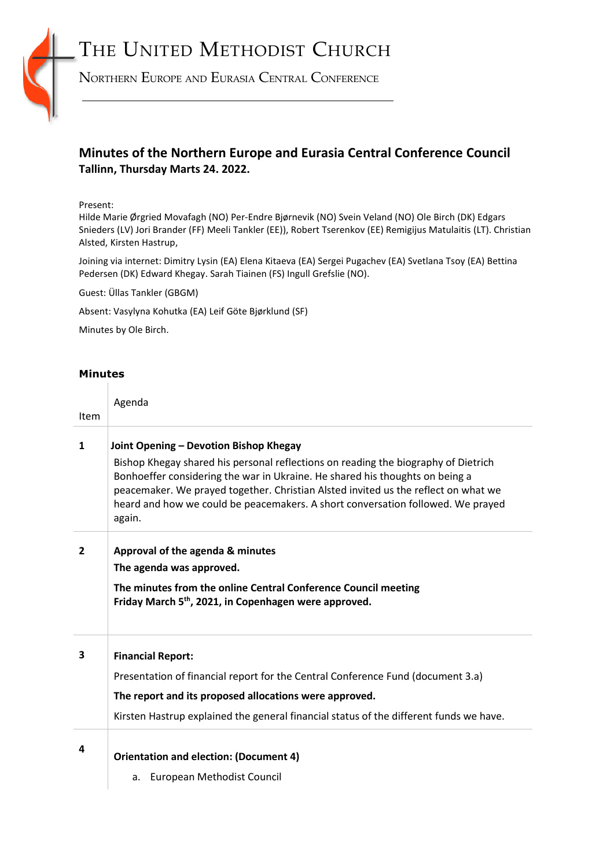# THE UNITED METHODIST CHURCH



NORTHERN EUROPE AND EURASIA CENTRAL CONFERENCE

# **Minutes of the Northern Europe and Eurasia Central Conference Council Tallinn, Thursday Marts 24. 2022.**

# Present:

Hilde Marie Ørgried Movafagh (NO) Per-Endre Bjørnevik (NO) Svein Veland (NO) Ole Birch (DK) Edgars Snieders (LV) Jori Brander (FF) Meeli Tankler (EE)), Robert Tserenkov (EE) Remigijus Matulaitis (LT). Christian Alsted, Kirsten Hastrup,

Joining via internet: Dimitry Lysin (EA) Elena Kitaeva (EA) Sergei Pugachev (EA) Svetlana Tsoy (EA) Bettina Pedersen (DK) Edward Khegay. Sarah Tiainen (FS) Ingull Grefslie (NO).

Guest: Üllas Tankler (GBGM)

Absent: Vasylyna Kohutka (EA) Leif Göte Bjørklund (SF)

Minutes by Ole Birch.

### **Minutes**  $\mathbb{R}$

| <b>Item</b>    | Agenda                                                                                                                                                                                                                                                |
|----------------|-------------------------------------------------------------------------------------------------------------------------------------------------------------------------------------------------------------------------------------------------------|
|                |                                                                                                                                                                                                                                                       |
| $\mathbf{1}$   | Joint Opening - Devotion Bishop Khegay<br>Bishop Khegay shared his personal reflections on reading the biography of Dietrich                                                                                                                          |
|                | Bonhoeffer considering the war in Ukraine. He shared his thoughts on being a<br>peacemaker. We prayed together. Christian Alsted invited us the reflect on what we<br>heard and how we could be peacemakers. A short conversation followed. We prayed |
|                | again.                                                                                                                                                                                                                                                |
| $\overline{2}$ | Approval of the agenda & minutes                                                                                                                                                                                                                      |
|                | The agenda was approved.                                                                                                                                                                                                                              |
|                | The minutes from the online Central Conference Council meeting<br>Friday March 5 <sup>th</sup> , 2021, in Copenhagen were approved.                                                                                                                   |
| 3              | <b>Financial Report:</b>                                                                                                                                                                                                                              |
|                | Presentation of financial report for the Central Conference Fund (document 3.a)                                                                                                                                                                       |
|                | The report and its proposed allocations were approved.                                                                                                                                                                                                |
|                | Kirsten Hastrup explained the general financial status of the different funds we have.                                                                                                                                                                |
| 4              |                                                                                                                                                                                                                                                       |
|                | <b>Orientation and election: (Document 4)</b>                                                                                                                                                                                                         |
|                | European Methodist Council<br>a.                                                                                                                                                                                                                      |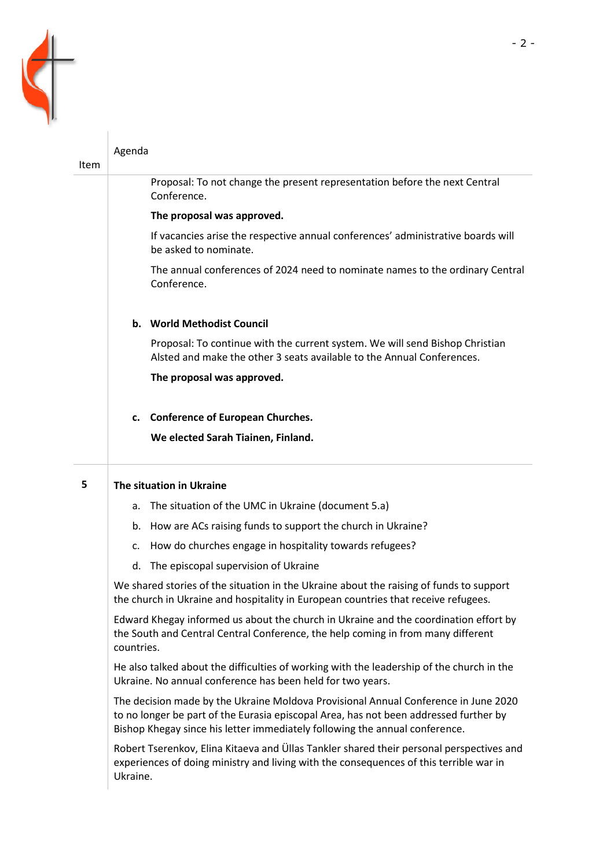

| Item | Agenda                                                                                                                                                                                                                                                      |  |  |  |
|------|-------------------------------------------------------------------------------------------------------------------------------------------------------------------------------------------------------------------------------------------------------------|--|--|--|
|      | Proposal: To not change the present representation before the next Central<br>Conference.                                                                                                                                                                   |  |  |  |
|      | The proposal was approved.                                                                                                                                                                                                                                  |  |  |  |
|      | If vacancies arise the respective annual conferences' administrative boards will<br>be asked to nominate.                                                                                                                                                   |  |  |  |
|      | The annual conferences of 2024 need to nominate names to the ordinary Central<br>Conference.                                                                                                                                                                |  |  |  |
|      | b. World Methodist Council                                                                                                                                                                                                                                  |  |  |  |
|      | Proposal: To continue with the current system. We will send Bishop Christian<br>Alsted and make the other 3 seats available to the Annual Conferences.                                                                                                      |  |  |  |
|      | The proposal was approved.                                                                                                                                                                                                                                  |  |  |  |
|      | c. Conference of European Churches.                                                                                                                                                                                                                         |  |  |  |
|      | We elected Sarah Tiainen, Finland.                                                                                                                                                                                                                          |  |  |  |
| 5    | The situation in Ukraine                                                                                                                                                                                                                                    |  |  |  |
|      | The situation of the UMC in Ukraine (document 5.a)<br>а.                                                                                                                                                                                                    |  |  |  |
|      | How are ACs raising funds to support the church in Ukraine?<br>b.                                                                                                                                                                                           |  |  |  |
|      | How do churches engage in hospitality towards refugees?<br>c.                                                                                                                                                                                               |  |  |  |
|      | The episcopal supervision of Ukraine<br>d.                                                                                                                                                                                                                  |  |  |  |
|      | We shared stories of the situation in the Ukraine about the raising of funds to support<br>the church in Ukraine and hospitality in European countries that receive refugees.                                                                               |  |  |  |
|      | Edward Khegay informed us about the church in Ukraine and the coordination effort by<br>the South and Central Central Conference, the help coming in from many different<br>countries.                                                                      |  |  |  |
|      | He also talked about the difficulties of working with the leadership of the church in the<br>Ukraine. No annual conference has been held for two years.                                                                                                     |  |  |  |
|      | The decision made by the Ukraine Moldova Provisional Annual Conference in June 2020<br>to no longer be part of the Eurasia episcopal Area, has not been addressed further by<br>Bishop Khegay since his letter immediately following the annual conference. |  |  |  |
|      | Robert Tserenkov, Elina Kitaeva and Üllas Tankler shared their personal perspectives and<br>experiences of doing ministry and living with the consequences of this terrible war in<br>Ukraine.                                                              |  |  |  |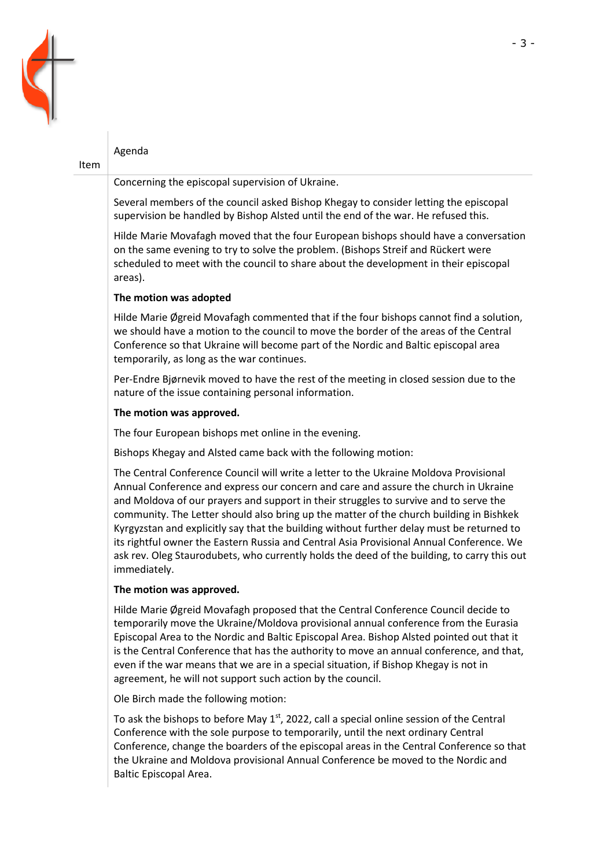

# Agenda

## Item

Concerning the episcopal supervision of Ukraine.

Several members of the council asked Bishop Khegay to consider letting the episcopal supervision be handled by Bishop Alsted until the end of the war. He refused this.

Hilde Marie Movafagh moved that the four European bishops should have a conversation on the same evening to try to solve the problem. (Bishops Streif and Rückert were scheduled to meet with the council to share about the development in their episcopal areas).

# **The motion was adopted**

Hilde Marie Øgreid Movafagh commented that if the four bishops cannot find a solution, we should have a motion to the council to move the border of the areas of the Central Conference so that Ukraine will become part of the Nordic and Baltic episcopal area temporarily, as long as the war continues.

Per-Endre Bjørnevik moved to have the rest of the meeting in closed session due to the nature of the issue containing personal information.

### **The motion was approved.**

The four European bishops met online in the evening.

Bishops Khegay and Alsted came back with the following motion:

The Central Conference Council will write a letter to the Ukraine Moldova Provisional Annual Conference and express our concern and care and assure the church in Ukraine and Moldova of our prayers and support in their struggles to survive and to serve the community. The Letter should also bring up the matter of the church building in Bishkek Kyrgyzstan and explicitly say that the building without further delay must be returned to its rightful owner the Eastern Russia and Central Asia Provisional Annual Conference. We ask rev. Oleg Staurodubets, who currently holds the deed of the building, to carry this out immediately.

# **The motion was approved.**

Hilde Marie Øgreid Movafagh proposed that the Central Conference Council decide to temporarily move the Ukraine/Moldova provisional annual conference from the Eurasia Episcopal Area to the Nordic and Baltic Episcopal Area. Bishop Alsted pointed out that it is the Central Conference that has the authority to move an annual conference, and that, even if the war means that we are in a special situation, if Bishop Khegay is not in agreement, he will not support such action by the council.

Ole Birch made the following motion:

To ask the bishops to before May  $1<sup>st</sup>$ , 2022, call a special online session of the Central Conference with the sole purpose to temporarily, until the next ordinary Central Conference, change the boarders of the episcopal areas in the Central Conference so that the Ukraine and Moldova provisional Annual Conference be moved to the Nordic and Baltic Episcopal Area.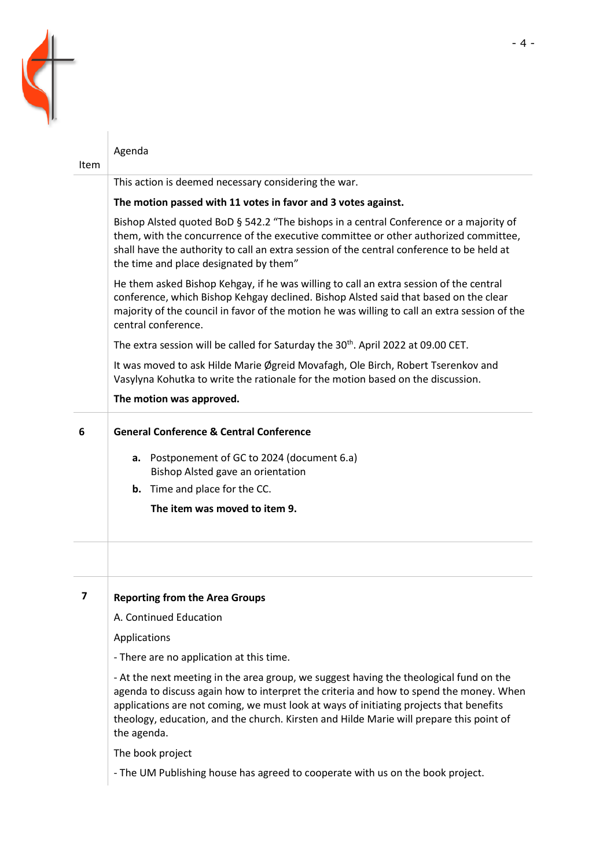

| Item                    | Agenda                                                                                                                                                                                                                                                                                                                                                                               |  |  |
|-------------------------|--------------------------------------------------------------------------------------------------------------------------------------------------------------------------------------------------------------------------------------------------------------------------------------------------------------------------------------------------------------------------------------|--|--|
|                         | This action is deemed necessary considering the war.                                                                                                                                                                                                                                                                                                                                 |  |  |
|                         | The motion passed with 11 votes in favor and 3 votes against.                                                                                                                                                                                                                                                                                                                        |  |  |
|                         | Bishop Alsted quoted BoD § 542.2 "The bishops in a central Conference or a majority of<br>them, with the concurrence of the executive committee or other authorized committee,<br>shall have the authority to call an extra session of the central conference to be held at<br>the time and place designated by them"                                                                |  |  |
|                         | He them asked Bishop Kehgay, if he was willing to call an extra session of the central<br>conference, which Bishop Kehgay declined. Bishop Alsted said that based on the clear<br>majority of the council in favor of the motion he was willing to call an extra session of the<br>central conference.                                                                               |  |  |
|                         | The extra session will be called for Saturday the 30 <sup>th</sup> . April 2022 at 09.00 CET.                                                                                                                                                                                                                                                                                        |  |  |
|                         | It was moved to ask Hilde Marie Øgreid Movafagh, Ole Birch, Robert Tserenkov and<br>Vasylyna Kohutka to write the rationale for the motion based on the discussion.                                                                                                                                                                                                                  |  |  |
|                         | The motion was approved.                                                                                                                                                                                                                                                                                                                                                             |  |  |
| 6                       | <b>General Conference &amp; Central Conference</b>                                                                                                                                                                                                                                                                                                                                   |  |  |
|                         | a. Postponement of GC to 2024 (document 6.a)<br>Bishop Alsted gave an orientation                                                                                                                                                                                                                                                                                                    |  |  |
|                         | <b>b.</b> Time and place for the CC.                                                                                                                                                                                                                                                                                                                                                 |  |  |
|                         | The item was moved to item 9.                                                                                                                                                                                                                                                                                                                                                        |  |  |
|                         |                                                                                                                                                                                                                                                                                                                                                                                      |  |  |
| $\overline{\mathbf{z}}$ | <b>Reporting from the Area Groups</b>                                                                                                                                                                                                                                                                                                                                                |  |  |
|                         | A. Continued Education                                                                                                                                                                                                                                                                                                                                                               |  |  |
|                         | Applications                                                                                                                                                                                                                                                                                                                                                                         |  |  |
|                         | - There are no application at this time.                                                                                                                                                                                                                                                                                                                                             |  |  |
|                         | - At the next meeting in the area group, we suggest having the theological fund on the<br>agenda to discuss again how to interpret the criteria and how to spend the money. When<br>applications are not coming, we must look at ways of initiating projects that benefits<br>theology, education, and the church. Kirsten and Hilde Marie will prepare this point of<br>the agenda. |  |  |
|                         | The book project                                                                                                                                                                                                                                                                                                                                                                     |  |  |

- The UM Publishing house has agreed to cooperate with us on the book project.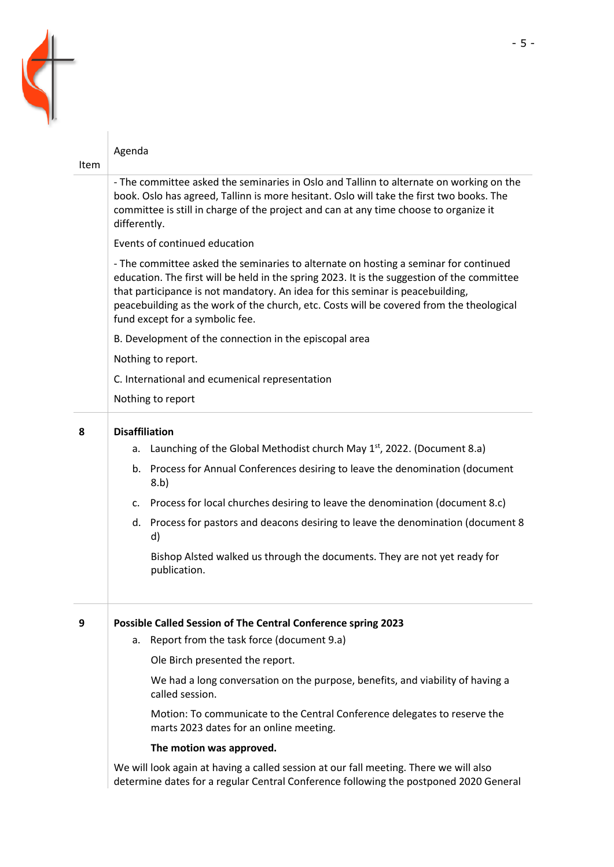

|      | Agenda                                                                                                                                                                                                                                                                                                                                                                                               |  |  |  |
|------|------------------------------------------------------------------------------------------------------------------------------------------------------------------------------------------------------------------------------------------------------------------------------------------------------------------------------------------------------------------------------------------------------|--|--|--|
| Item |                                                                                                                                                                                                                                                                                                                                                                                                      |  |  |  |
|      | - The committee asked the seminaries in Oslo and Tallinn to alternate on working on the<br>book. Oslo has agreed, Tallinn is more hesitant. Oslo will take the first two books. The<br>committee is still in charge of the project and can at any time choose to organize it<br>differently.                                                                                                         |  |  |  |
|      | Events of continued education                                                                                                                                                                                                                                                                                                                                                                        |  |  |  |
|      | - The committee asked the seminaries to alternate on hosting a seminar for continued<br>education. The first will be held in the spring 2023. It is the suggestion of the committee<br>that participance is not mandatory. An idea for this seminar is peacebuilding,<br>peacebuilding as the work of the church, etc. Costs will be covered from the theological<br>fund except for a symbolic fee. |  |  |  |
|      | B. Development of the connection in the episcopal area                                                                                                                                                                                                                                                                                                                                               |  |  |  |
|      | Nothing to report.                                                                                                                                                                                                                                                                                                                                                                                   |  |  |  |
|      | C. International and ecumenical representation                                                                                                                                                                                                                                                                                                                                                       |  |  |  |
|      | Nothing to report                                                                                                                                                                                                                                                                                                                                                                                    |  |  |  |
| 8    | <b>Disaffiliation</b>                                                                                                                                                                                                                                                                                                                                                                                |  |  |  |
|      | Launching of the Global Methodist church May 1st, 2022. (Document 8.a)<br>a.                                                                                                                                                                                                                                                                                                                         |  |  |  |
|      | b. Process for Annual Conferences desiring to leave the denomination (document<br>8.b)                                                                                                                                                                                                                                                                                                               |  |  |  |
|      | c. Process for local churches desiring to leave the denomination (document 8.c)                                                                                                                                                                                                                                                                                                                      |  |  |  |
|      | d. Process for pastors and deacons desiring to leave the denomination (document 8)<br>d)                                                                                                                                                                                                                                                                                                             |  |  |  |
|      | Bishop Alsted walked us through the documents. They are not yet ready for<br>publication.                                                                                                                                                                                                                                                                                                            |  |  |  |
| 9    | Possible Called Session of The Central Conference spring 2023                                                                                                                                                                                                                                                                                                                                        |  |  |  |
|      | Report from the task force (document 9.a)<br>a.                                                                                                                                                                                                                                                                                                                                                      |  |  |  |
|      | Ole Birch presented the report.                                                                                                                                                                                                                                                                                                                                                                      |  |  |  |
|      | We had a long conversation on the purpose, benefits, and viability of having a<br>called session.                                                                                                                                                                                                                                                                                                    |  |  |  |
|      | Motion: To communicate to the Central Conference delegates to reserve the<br>marts 2023 dates for an online meeting.                                                                                                                                                                                                                                                                                 |  |  |  |
|      | The motion was approved.                                                                                                                                                                                                                                                                                                                                                                             |  |  |  |
|      | We will look again at having a called session at our fall meeting. There we will also                                                                                                                                                                                                                                                                                                                |  |  |  |

determine dates for a regular Central Conference following the postponed 2020 General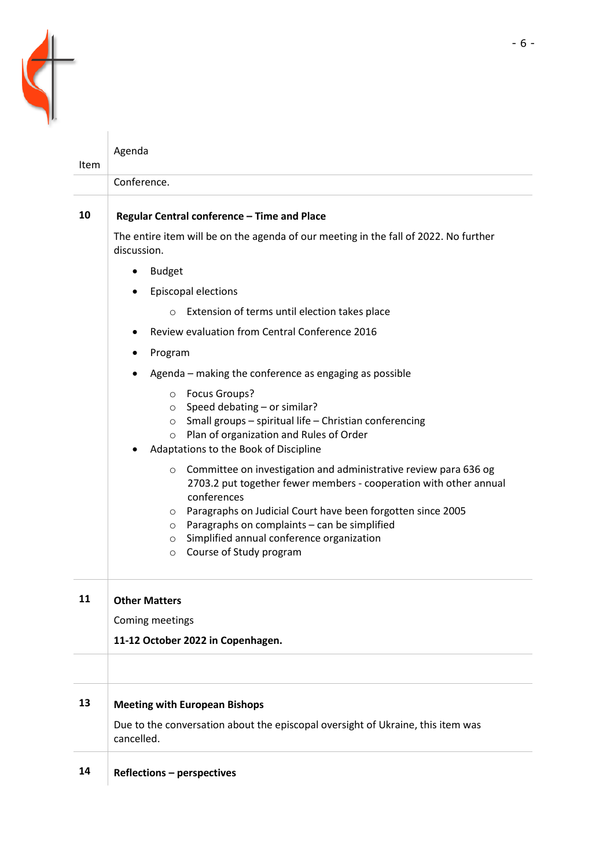

|             | Agenda                                                                                                                                                                                                                                                                                                                                                                                             |  |  |  |  |
|-------------|----------------------------------------------------------------------------------------------------------------------------------------------------------------------------------------------------------------------------------------------------------------------------------------------------------------------------------------------------------------------------------------------------|--|--|--|--|
| <b>Item</b> |                                                                                                                                                                                                                                                                                                                                                                                                    |  |  |  |  |
|             | Conference.                                                                                                                                                                                                                                                                                                                                                                                        |  |  |  |  |
| 10          | Regular Central conference - Time and Place                                                                                                                                                                                                                                                                                                                                                        |  |  |  |  |
|             | The entire item will be on the agenda of our meeting in the fall of 2022. No further<br>discussion.                                                                                                                                                                                                                                                                                                |  |  |  |  |
|             | <b>Budget</b><br>٠                                                                                                                                                                                                                                                                                                                                                                                 |  |  |  |  |
|             | <b>Episcopal elections</b>                                                                                                                                                                                                                                                                                                                                                                         |  |  |  |  |
|             | Extension of terms until election takes place<br>$\circ$                                                                                                                                                                                                                                                                                                                                           |  |  |  |  |
|             | Review evaluation from Central Conference 2016                                                                                                                                                                                                                                                                                                                                                     |  |  |  |  |
|             | Program                                                                                                                                                                                                                                                                                                                                                                                            |  |  |  |  |
|             | Agenda – making the conference as engaging as possible                                                                                                                                                                                                                                                                                                                                             |  |  |  |  |
|             | O Focus Groups?<br>o Speed debating - or similar?<br>$\circ$ Small groups – spiritual life – Christian conferencing<br>Plan of organization and Rules of Order<br>$\circ$<br>Adaptations to the Book of Discipline                                                                                                                                                                                 |  |  |  |  |
|             | Committee on investigation and administrative review para 636 og<br>$\circ$<br>2703.2 put together fewer members - cooperation with other annual<br>conferences<br>Paragraphs on Judicial Court have been forgotten since 2005<br>$\circ$<br>Paragraphs on complaints - can be simplified<br>$\circ$<br>Simplified annual conference organization<br>$\circ$<br>Course of Study program<br>$\circ$ |  |  |  |  |
| 11          | <b>Other Matters</b>                                                                                                                                                                                                                                                                                                                                                                               |  |  |  |  |
|             | Coming meetings                                                                                                                                                                                                                                                                                                                                                                                    |  |  |  |  |
|             | 11-12 October 2022 in Copenhagen.                                                                                                                                                                                                                                                                                                                                                                  |  |  |  |  |
|             |                                                                                                                                                                                                                                                                                                                                                                                                    |  |  |  |  |
| 13          | <b>Meeting with European Bishops</b>                                                                                                                                                                                                                                                                                                                                                               |  |  |  |  |
|             | Due to the conversation about the episcopal oversight of Ukraine, this item was<br>cancelled.                                                                                                                                                                                                                                                                                                      |  |  |  |  |
| 14          | <b>Reflections - perspectives</b>                                                                                                                                                                                                                                                                                                                                                                  |  |  |  |  |